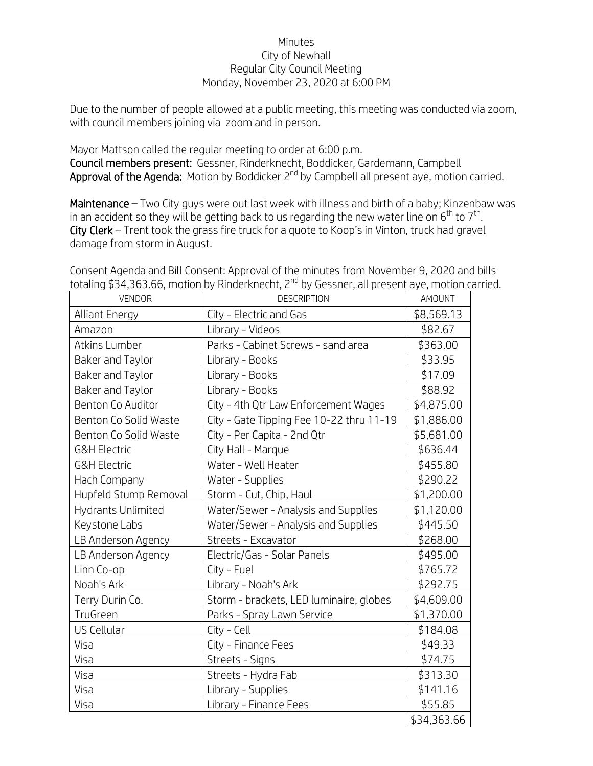## Minutes City of Newhall Regular City Council Meeting Monday, November 23, 2020 at 6:00 PM

Due to the number of people allowed at a public meeting, this meeting was conducted via zoom, with council members joining via zoom and in person.

Mayor Mattson called the regular meeting to order at 6:00 p.m. Council members present: Gessner, Rinderknecht, Boddicker, Gardemann, Campbell Approval of the Agenda: Motion by Boddicker  $2^{nd}$  by Campbell all present aye, motion carried.

Maintenance – Two City guys were out last week with illness and birth of a baby; Kinzenbaw was in an accident so they will be getting back to us regarding the new water line on  $6<sup>th</sup>$  to  $7<sup>th</sup>$ . City Clerk – Trent took the grass fire truck for a guote to Koop's in Vinton, truck had gravel damage from storm in August.

|                         | totaling \$34,303.00, i notion by RinderKriecht, Z – by Gessner, alt present aye, motion C |             |
|-------------------------|--------------------------------------------------------------------------------------------|-------------|
| <b>VENDOR</b>           | <b>DESCRIPTION</b>                                                                         | AMOUNT      |
| <b>Alliant Energy</b>   | City - Electric and Gas                                                                    | \$8,569.13  |
| Amazon                  | Library - Videos                                                                           | \$82.67     |
| <b>Atkins Lumber</b>    | Parks - Cabinet Screws - sand area                                                         | \$363.00    |
| Baker and Taylor        | Library - Books                                                                            | \$33.95     |
| Baker and Taylor        | Library - Books                                                                            | \$17.09     |
| Baker and Taylor        | Library - Books                                                                            | \$88.92     |
| Benton Co Auditor       | City - 4th Qtr Law Enforcement Wages                                                       | \$4,875.00  |
| Benton Co Solid Waste   | City - Gate Tipping Fee 10-22 thru 11-19                                                   | \$1,886.00  |
| Benton Co Solid Waste   | City - Per Capita - 2nd Qtr                                                                | \$5,681.00  |
| <b>G&amp;H Electric</b> | City Hall - Marque                                                                         | \$636.44    |
| <b>G&amp;H Electric</b> | Water - Well Heater                                                                        | \$455.80    |
| Hach Company            | Water - Supplies                                                                           | \$290.22    |
| Hupfeld Stump Removal   | Storm - Cut, Chip, Haul                                                                    | \$1,200.00  |
| Hydrants Unlimited      | Water/Sewer - Analysis and Supplies                                                        | \$1,120.00  |
| Keystone Labs           | Water/Sewer - Analysis and Supplies                                                        | \$445.50    |
| LB Anderson Agency      | Streets - Excavator                                                                        | \$268.00    |
| LB Anderson Agency      | Electric/Gas - Solar Panels                                                                | \$495.00    |
| Linn Co-op              | City - Fuel                                                                                | \$765.72    |
| Noah's Ark              | Library - Noah's Ark                                                                       | \$292.75    |
| Terry Durin Co.         | Storm - brackets, LED luminaire, globes                                                    | \$4,609.00  |
| TruGreen                | Parks - Spray Lawn Service                                                                 | \$1,370.00  |
| US Cellular             | City - Cell                                                                                | \$184.08    |
| Visa                    | City - Finance Fees                                                                        | \$49.33     |
| Visa                    | Streets - Signs                                                                            | \$74.75     |
| Visa                    | Streets - Hydra Fab                                                                        | \$313.30    |
| Visa                    | Library - Supplies                                                                         | \$141.16    |
| Visa                    | Library - Finance Fees                                                                     | \$55.85     |
|                         |                                                                                            | \$34,363.66 |

Consent Agenda and Bill Consent: Approval of the minutes from November 9, 2020 and bills totaling \$34,363.66, motion by Rinderknecht, 2<sup>nd</sup> by Gessner, all present aye, motion carried.